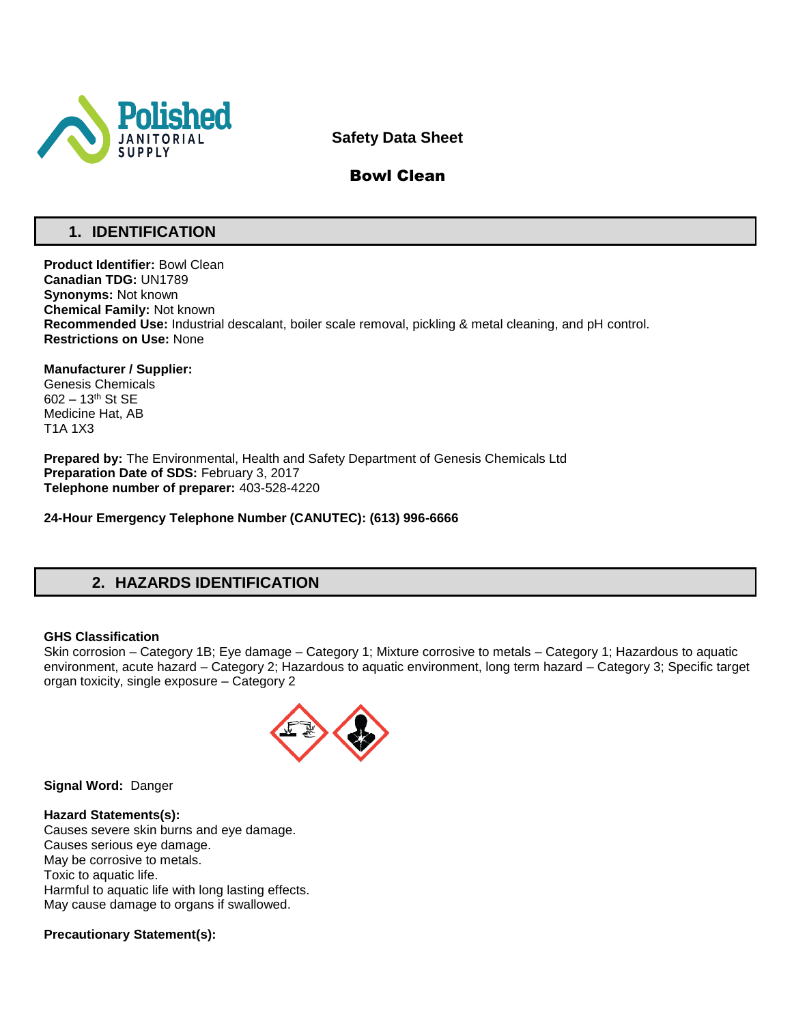

# **Safety Data Sheet**

# Bowl Clean

# **1. IDENTIFICATION**

**Product Identifier:** Bowl Clean **Canadian TDG:** UN1789 **Synonyms:** Not known **Chemical Family:** Not known **Recommended Use:** Industrial descalant, boiler scale removal, pickling & metal cleaning, and pH control. **Restrictions on Use:** None

**Manufacturer / Supplier:** Genesis Chemicals 602 – 13th St SE Medicine Hat, AB T1A 1X3

**Prepared by:** The Environmental, Health and Safety Department of Genesis Chemicals Ltd **Preparation Date of SDS:** February 3, 2017 **Telephone number of preparer:** 403-528-4220

**24-Hour Emergency Telephone Number (CANUTEC): (613) 996-6666**

# **2. HAZARDS IDENTIFICATION**

#### **GHS Classification**

Skin corrosion – Category 1B; Eye damage – Category 1; Mixture corrosive to metals – Category 1; Hazardous to aquatic environment, acute hazard – Category 2; Hazardous to aquatic environment, long term hazard – Category 3; Specific target organ toxicity, single exposure – Category 2



**Signal Word:** Danger

**Hazard Statements(s):** Causes severe skin burns and eye damage. Causes serious eye damage. May be corrosive to metals. Toxic to aquatic life. Harmful to aquatic life with long lasting effects. May cause damage to organs if swallowed.

#### **Precautionary Statement(s):**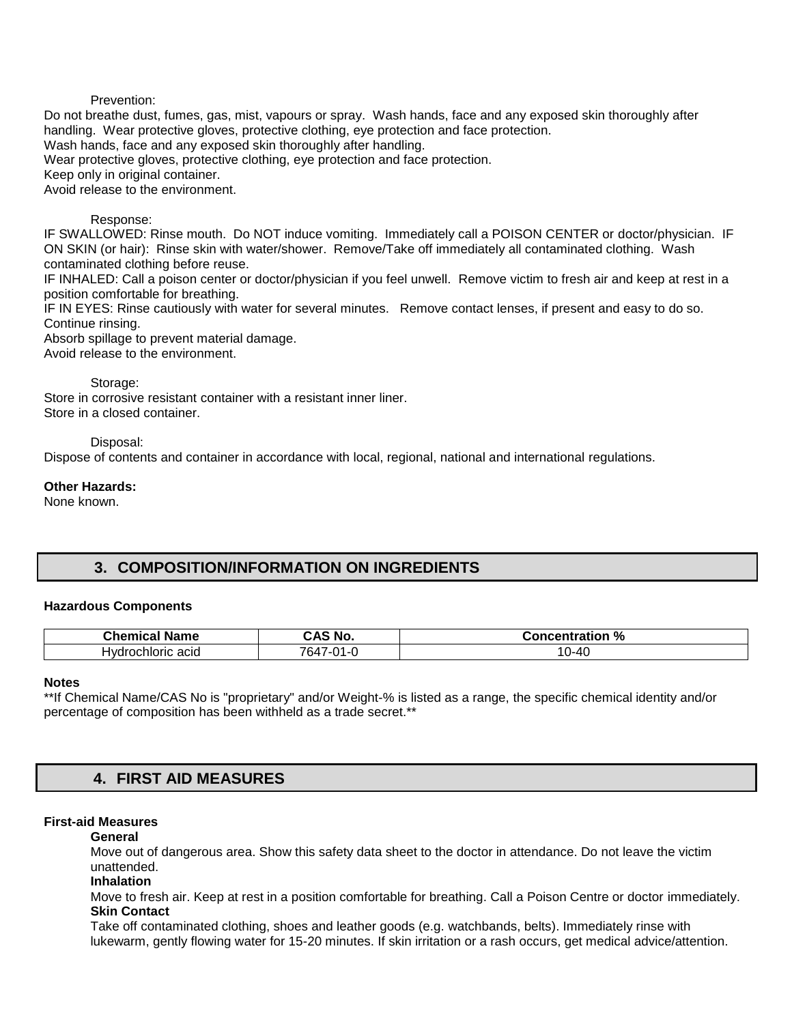### Prevention:

Do not breathe dust, fumes, gas, mist, vapours or spray. Wash hands, face and any exposed skin thoroughly after handling. Wear protective gloves, protective clothing, eye protection and face protection. Wash hands, face and any exposed skin thoroughly after handling. Wear protective gloves, protective clothing, eye protection and face protection. Keep only in original container. Avoid release to the environment.

### Response:

IF SWALLOWED: Rinse mouth. Do NOT induce vomiting. Immediately call a POISON CENTER or doctor/physician. IF ON SKIN (or hair): Rinse skin with water/shower. Remove/Take off immediately all contaminated clothing. Wash contaminated clothing before reuse.

IF INHALED: Call a poison center or doctor/physician if you feel unwell. Remove victim to fresh air and keep at rest in a position comfortable for breathing.

IF IN EYES: Rinse cautiously with water for several minutes. Remove contact lenses, if present and easy to do so. Continue rinsing.

Absorb spillage to prevent material damage.

Avoid release to the environment.

Storage:

Store in corrosive resistant container with a resistant inner liner. Store in a closed container.

Disposal:

Dispose of contents and container in accordance with local, regional, national and international regulations.

#### **Other Hazards:**

None known.

## **3. COMPOSITION/INFORMATION ON INGREDIENTS**

#### **Hazardous Components**

| . .<br>Chemical<br><b>Name</b> | .NG                     | $\mathbf{a}$<br>Concentration<br>ntration<br>70 |
|--------------------------------|-------------------------|-------------------------------------------------|
| Hvdr<br>'rochloric acid        | 7647<br>$\sim$<br>أساله | ን-40<br>טו                                      |

#### **Notes**

\*\*If Chemical Name/CAS No is "proprietary" and/or Weight-% is listed as a range, the specific chemical identity and/or percentage of composition has been withheld as a trade secret.\*\*

# **4. FIRST AID MEASURES**

#### **First-aid Measures**

#### **General**

Move out of dangerous area. Show this safety data sheet to the doctor in attendance. Do not leave the victim unattended.

**Inhalation** 

Move to fresh air. Keep at rest in a position comfortable for breathing. Call a Poison Centre or doctor immediately. **Skin Contact** 

Take off contaminated clothing, shoes and leather goods (e.g. watchbands, belts). Immediately rinse with lukewarm, gently flowing water for 15-20 minutes. If skin irritation or a rash occurs, get medical advice/attention.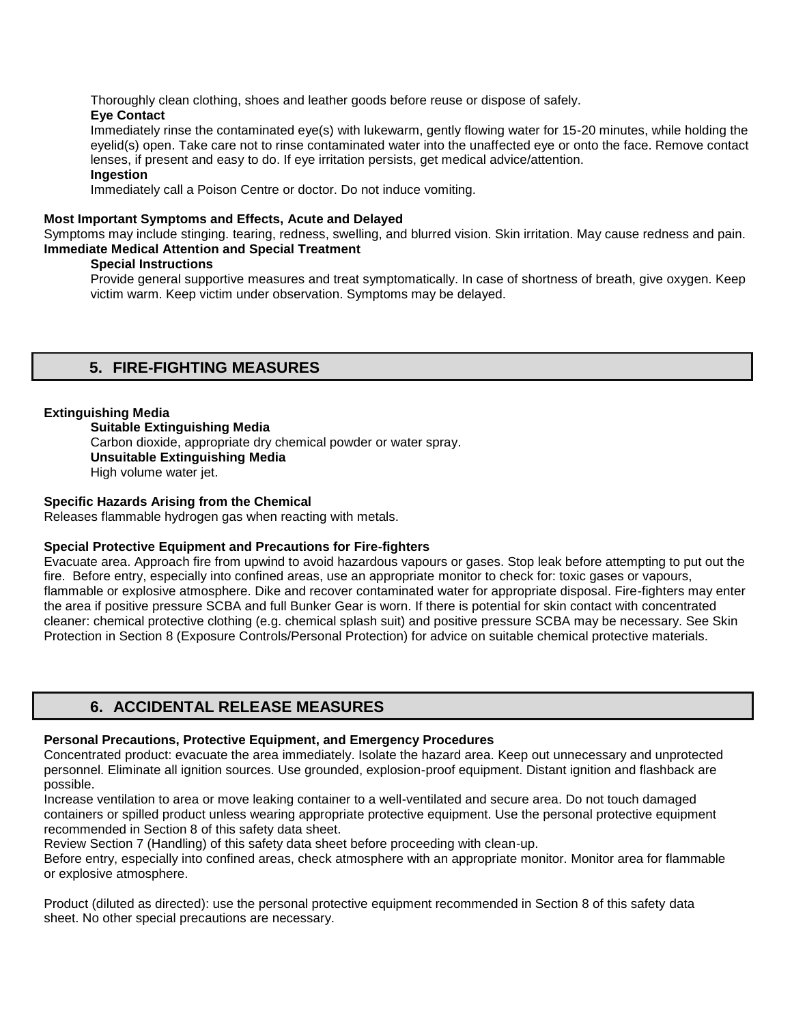Thoroughly clean clothing, shoes and leather goods before reuse or dispose of safely.

### **Eye Contact**

Immediately rinse the contaminated eye(s) with lukewarm, gently flowing water for 15-20 minutes, while holding the eyelid(s) open. Take care not to rinse contaminated water into the unaffected eye or onto the face. Remove contact lenses, if present and easy to do. If eye irritation persists, get medical advice/attention.

### **Ingestion**

Immediately call a Poison Centre or doctor. Do not induce vomiting.

### **Most Important Symptoms and Effects, Acute and Delayed**

Symptoms may include stinging. tearing, redness, swelling, and blurred vision. Skin irritation. May cause redness and pain. **Immediate Medical Attention and Special Treatment** 

### **Special Instructions**

Provide general supportive measures and treat symptomatically. In case of shortness of breath, give oxygen. Keep victim warm. Keep victim under observation. Symptoms may be delayed.

# **5. FIRE-FIGHTING MEASURES**

### **Extinguishing Media**

**Suitable Extinguishing Media** Carbon dioxide, appropriate dry chemical powder or water spray. **Unsuitable Extinguishing Media**  High volume water jet.

### **Specific Hazards Arising from the Chemical**

Releases flammable hydrogen gas when reacting with metals.

### **Special Protective Equipment and Precautions for Fire-fighters**

Evacuate area. Approach fire from upwind to avoid hazardous vapours or gases. Stop leak before attempting to put out the fire. Before entry, especially into confined areas, use an appropriate monitor to check for: toxic gases or vapours, flammable or explosive atmosphere. Dike and recover contaminated water for appropriate disposal. Fire-fighters may enter the area if positive pressure SCBA and full Bunker Gear is worn. If there is potential for skin contact with concentrated cleaner: chemical protective clothing (e.g. chemical splash suit) and positive pressure SCBA may be necessary. See Skin Protection in Section 8 (Exposure Controls/Personal Protection) for advice on suitable chemical protective materials.

# **6. ACCIDENTAL RELEASE MEASURES**

### **Personal Precautions, Protective Equipment, and Emergency Procedures**

Concentrated product: evacuate the area immediately. Isolate the hazard area. Keep out unnecessary and unprotected personnel. Eliminate all ignition sources. Use grounded, explosion-proof equipment. Distant ignition and flashback are possible.

Increase ventilation to area or move leaking container to a well-ventilated and secure area. Do not touch damaged containers or spilled product unless wearing appropriate protective equipment. Use the personal protective equipment recommended in Section 8 of this safety data sheet.

Review Section 7 (Handling) of this safety data sheet before proceeding with clean-up.

Before entry, especially into confined areas, check atmosphere with an appropriate monitor. Monitor area for flammable or explosive atmosphere.

Product (diluted as directed): use the personal protective equipment recommended in Section 8 of this safety data sheet. No other special precautions are necessary.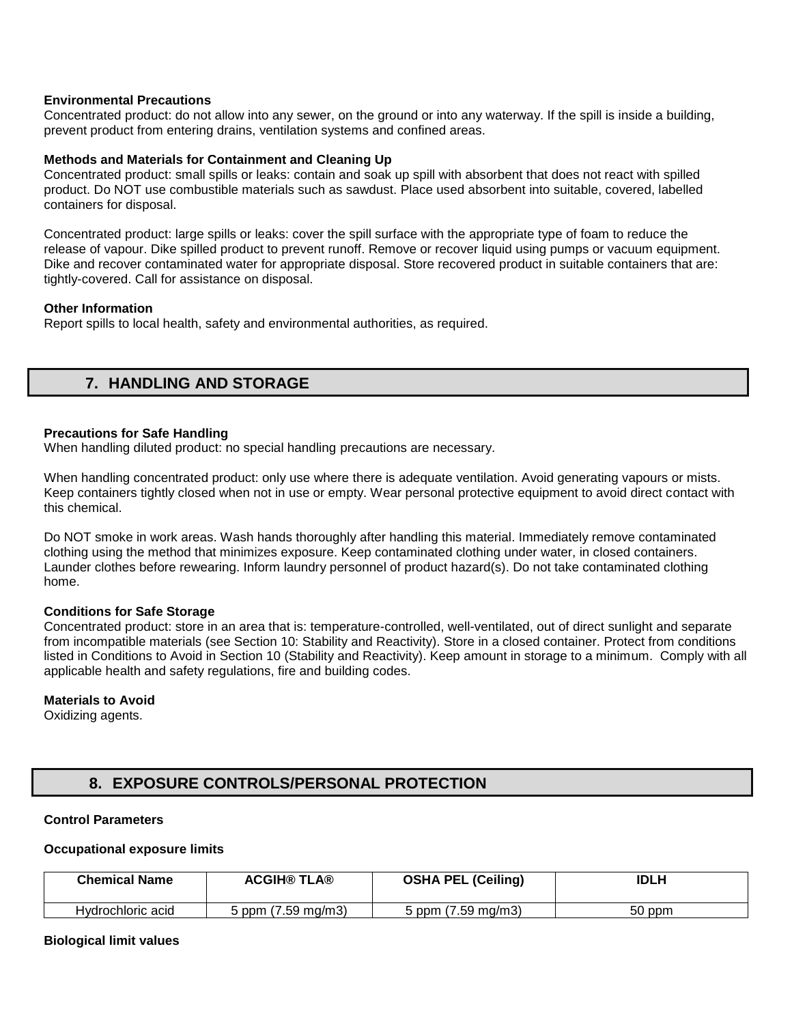#### **Environmental Precautions**

Concentrated product: do not allow into any sewer, on the ground or into any waterway. If the spill is inside a building, prevent product from entering drains, ventilation systems and confined areas.

#### **Methods and Materials for Containment and Cleaning Up**

Concentrated product: small spills or leaks: contain and soak up spill with absorbent that does not react with spilled product. Do NOT use combustible materials such as sawdust. Place used absorbent into suitable, covered, labelled containers for disposal.

Concentrated product: large spills or leaks: cover the spill surface with the appropriate type of foam to reduce the release of vapour. Dike spilled product to prevent runoff. Remove or recover liquid using pumps or vacuum equipment. Dike and recover contaminated water for appropriate disposal. Store recovered product in suitable containers that are: tightly-covered. Call for assistance on disposal.

#### **Other Information**

Report spills to local health, safety and environmental authorities, as required.

# **7. HANDLING AND STORAGE**

### **Precautions for Safe Handling**

When handling diluted product: no special handling precautions are necessary.

When handling concentrated product: only use where there is adequate ventilation. Avoid generating vapours or mists. Keep containers tightly closed when not in use or empty. Wear personal protective equipment to avoid direct contact with this chemical.

Do NOT smoke in work areas. Wash hands thoroughly after handling this material. Immediately remove contaminated clothing using the method that minimizes exposure. Keep contaminated clothing under water, in closed containers. Launder clothes before rewearing. Inform laundry personnel of product hazard(s). Do not take contaminated clothing home.

#### **Conditions for Safe Storage**

Concentrated product: store in an area that is: temperature-controlled, well-ventilated, out of direct sunlight and separate from incompatible materials (see Section 10: Stability and Reactivity). Store in a closed container. Protect from conditions listed in Conditions to Avoid in Section 10 (Stability and Reactivity). Keep amount in storage to a minimum. Comply with all applicable health and safety regulations, fire and building codes.

#### **Materials to Avoid**

Oxidizing agents.

# **8. EXPOSURE CONTROLS/PERSONAL PROTECTION**

#### **Control Parameters**

#### **Occupational exposure limits**

| <b>Chemical Name</b> | <b>ACGIH® TLA®</b> | <b>OSHA PEL (Ceiling)</b>     | <b>IDLH</b> |
|----------------------|--------------------|-------------------------------|-------------|
| Hydrochloric acid    | 5 ppm (7.59 mg/m3) | $(7.59 \text{ mg/m3})$<br>ppm | 50 ppm      |

#### **Biological limit values**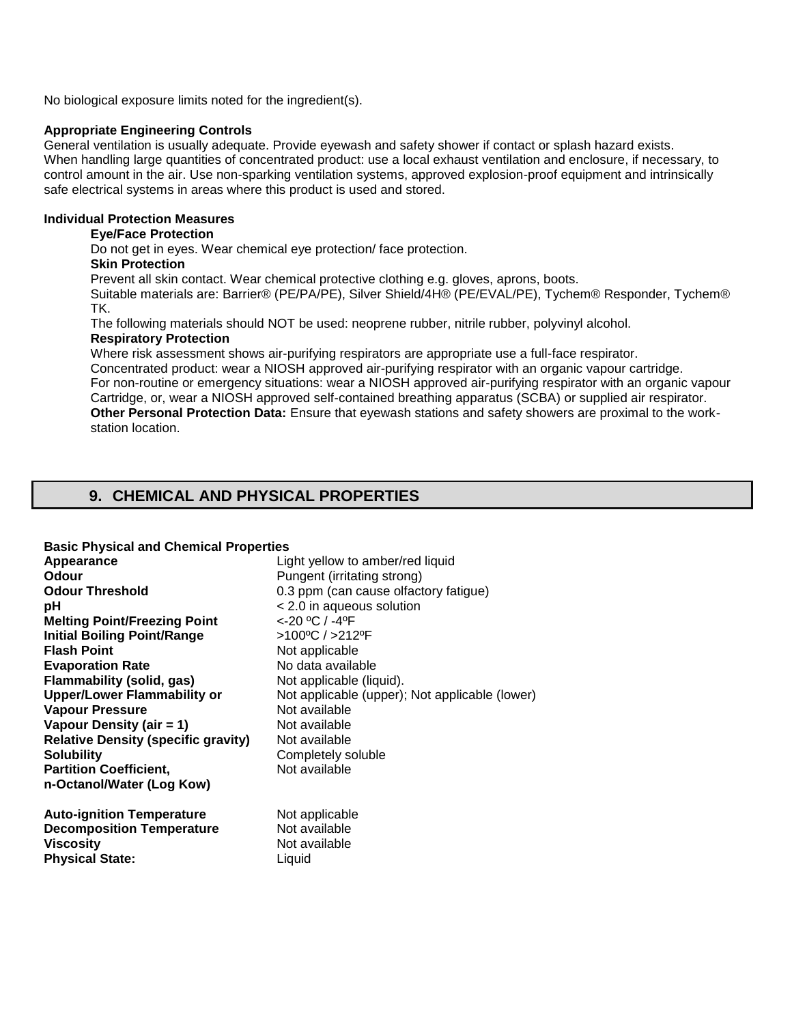No biological exposure limits noted for the ingredient(s).

#### **Appropriate Engineering Controls**

General ventilation is usually adequate. Provide eyewash and safety shower if contact or splash hazard exists. When handling large quantities of concentrated product: use a local exhaust ventilation and enclosure, if necessary, to control amount in the air. Use non-sparking ventilation systems, approved explosion-proof equipment and intrinsically safe electrical systems in areas where this product is used and stored.

#### **Individual Protection Measures**

## **Eye/Face Protection**

Do not get in eyes. Wear chemical eye protection/ face protection.

### **Skin Protection**

Prevent all skin contact. Wear chemical protective clothing e.g. gloves, aprons, boots.

Suitable materials are: Barrier® (PE/PA/PE), Silver Shield/4H® (PE/EVAL/PE), Tychem® Responder, Tychem® TK.

The following materials should NOT be used: neoprene rubber, nitrile rubber, polyvinyl alcohol.

#### **Respiratory Protection**

Where risk assessment shows air-purifying respirators are appropriate use a full-face respirator.

Concentrated product: wear a NIOSH approved air-purifying respirator with an organic vapour cartridge. For non-routine or emergency situations: wear a NIOSH approved air-purifying respirator with an organic vapour Cartridge, or, wear a NIOSH approved self-contained breathing apparatus (SCBA) or supplied air respirator. **Other Personal Protection Data:** Ensure that eyewash stations and safety showers are proximal to the workstation location.

# **9. CHEMICAL AND PHYSICAL PROPERTIES**

#### **Basic Physical and Chemical Properties**

| Appearance                                                                                                         | Light yellow to amber/red liquid                           |
|--------------------------------------------------------------------------------------------------------------------|------------------------------------------------------------|
| <b>Odour</b>                                                                                                       | Pungent (irritating strong)                                |
| <b>Odour Threshold</b>                                                                                             | 0.3 ppm (can cause olfactory fatigue)                      |
| рH                                                                                                                 | < 2.0 in aqueous solution                                  |
| <b>Melting Point/Freezing Point</b>                                                                                | <-20 °C / -4°F                                             |
| <b>Initial Boiling Point/Range</b>                                                                                 | >100°C / >212°F                                            |
| <b>Flash Point</b>                                                                                                 | Not applicable                                             |
| <b>Evaporation Rate</b>                                                                                            | No data available                                          |
| Flammability (solid, gas)                                                                                          | Not applicable (liquid).                                   |
| Upper/Lower Flammability or                                                                                        | Not applicable (upper); Not applicable (lower)             |
| <b>Vapour Pressure</b>                                                                                             | Not available                                              |
| Vapour Density (air = 1)                                                                                           | Not available                                              |
| <b>Relative Density (specific gravity)</b>                                                                         | Not available                                              |
| <b>Solubility</b>                                                                                                  | Completely soluble                                         |
| <b>Partition Coefficient,</b>                                                                                      | Not available                                              |
| n-Octanol/Water (Log Kow)                                                                                          |                                                            |
| <b>Auto-ignition Temperature</b><br><b>Decomposition Temperature</b><br><b>Viscosity</b><br><b>Physical State:</b> | Not applicable<br>Not available<br>Not available<br>Liquid |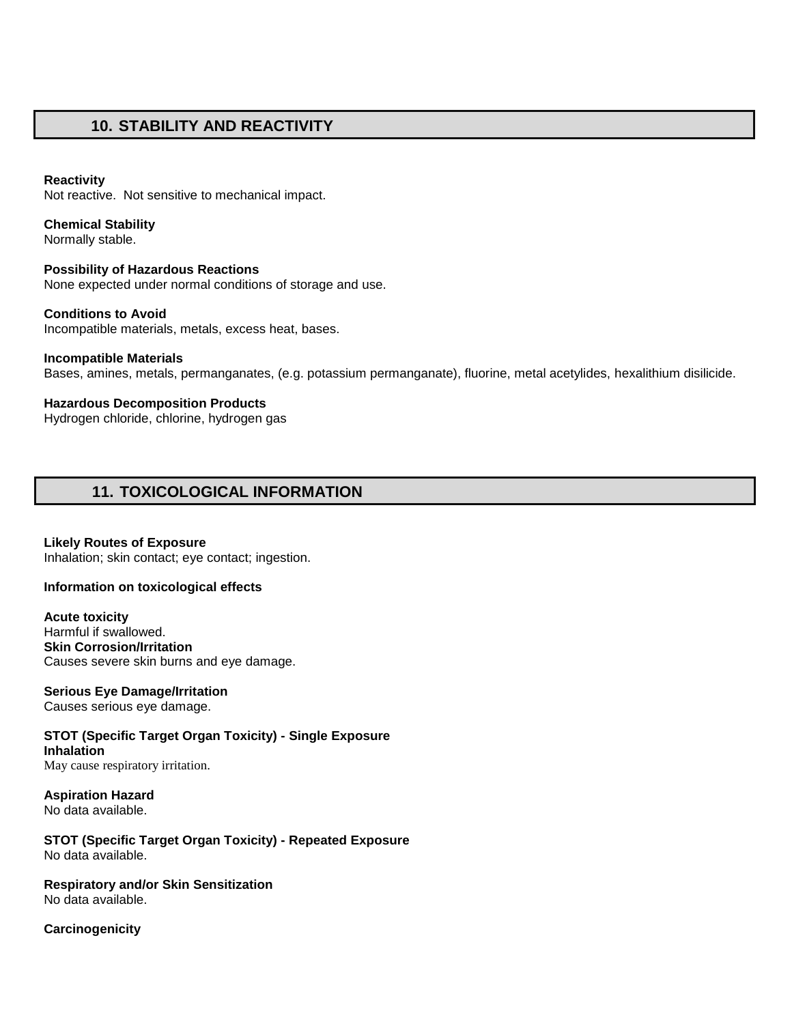# **10. STABILITY AND REACTIVITY**

#### **Reactivity**

Not reactive. Not sensitive to mechanical impact.

## **Chemical Stability**

Normally stable.

**Possibility of Hazardous Reactions**  None expected under normal conditions of storage and use.

**Conditions to Avoid**  Incompatible materials, metals, excess heat, bases.

**Incompatible Materials**  Bases, amines, metals, permanganates, (e.g. potassium permanganate), fluorine, metal acetylides, hexalithium disilicide.

**Hazardous Decomposition Products**  Hydrogen chloride, chlorine, hydrogen gas

# **11. TOXICOLOGICAL INFORMATION**

**Likely Routes of Exposure**  Inhalation; skin contact; eye contact; ingestion.

#### **Information on toxicological effects**

**Acute toxicity** Harmful if swallowed. **Skin Corrosion/Irritation**  Causes severe skin burns and eye damage.

**Serious Eye Damage/Irritation**  Causes serious eye damage.

**STOT (Specific Target Organ Toxicity) - Single Exposure Inhalation**  May cause respiratory irritation.

**Aspiration Hazard** No data available.

**STOT (Specific Target Organ Toxicity) - Repeated Exposure**  No data available.

**Respiratory and/or Skin Sensitization**  No data available.

**Carcinogenicity**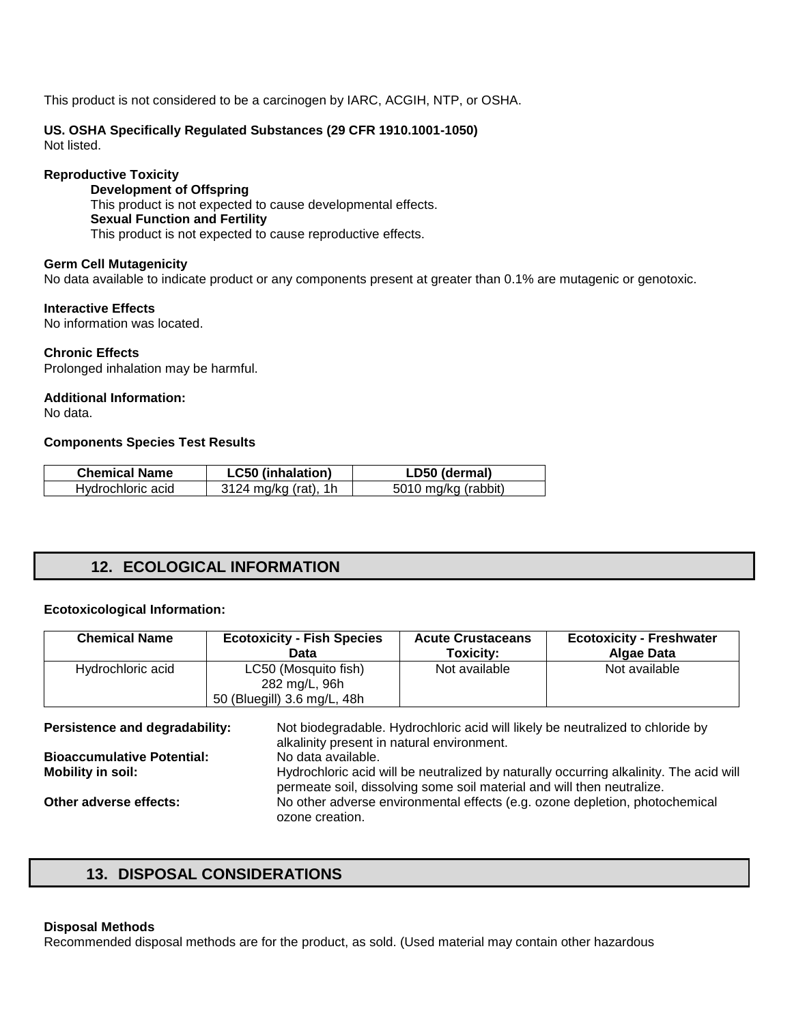This product is not considered to be a carcinogen by IARC, ACGIH, NTP, or OSHA.

#### **US. OSHA Specifically Regulated Substances (29 CFR 1910.1001-1050)** Not listed.

#### **Reproductive Toxicity**

**Development of Offspring**  This product is not expected to cause developmental effects. **Sexual Function and Fertility**  This product is not expected to cause reproductive effects.

#### **Germ Cell Mutagenicity**

No data available to indicate product or any components present at greater than 0.1% are mutagenic or genotoxic.

#### **Interactive Effects**

No information was located.

#### **Chronic Effects**

Prolonged inhalation may be harmful.

### **Additional Information:**

No data.

#### **Components Species Test Results**

| <b>Chemical Name</b> | <b>LC50 (inhalation)</b> | LD50 (dermal)       |
|----------------------|--------------------------|---------------------|
| Hydrochloric acid    | 3124 mg/kg (rat), 1h     | 5010 mg/kg (rabbit) |

# **12. ECOLOGICAL INFORMATION**

#### **Ecotoxicological Information:**

| <b>Chemical Name</b> | <b>Ecotoxicity - Fish Species</b>                                    | <b>Acute Crustaceans</b> | <b>Ecotoxicity - Freshwater</b> |
|----------------------|----------------------------------------------------------------------|--------------------------|---------------------------------|
|                      | Data                                                                 | Toxicity:                | Algae Data                      |
| Hydrochloric acid    | LC50 (Mosquito fish)<br>282 mg/L, 96h<br>50 (Bluegill) 3.6 mg/L, 48h | Not available            | Not available                   |

| Persistence and degradability:    | Not biodegradable. Hydrochloric acid will likely be neutralized to chloride by         |
|-----------------------------------|----------------------------------------------------------------------------------------|
|                                   | alkalinity present in natural environment.                                             |
| <b>Bioaccumulative Potential:</b> | No data available.                                                                     |
| Mobility in soil:                 | Hydrochloric acid will be neutralized by naturally occurring alkalinity. The acid will |
|                                   | permeate soil, dissolving some soil material and will then neutralize.                 |
| Other adverse effects:            | No other adverse environmental effects (e.g. ozone depletion, photochemical            |
|                                   | ozone creation.                                                                        |

# **13. DISPOSAL CONSIDERATIONS**

#### **Disposal Methods**

Recommended disposal methods are for the product, as sold. (Used material may contain other hazardous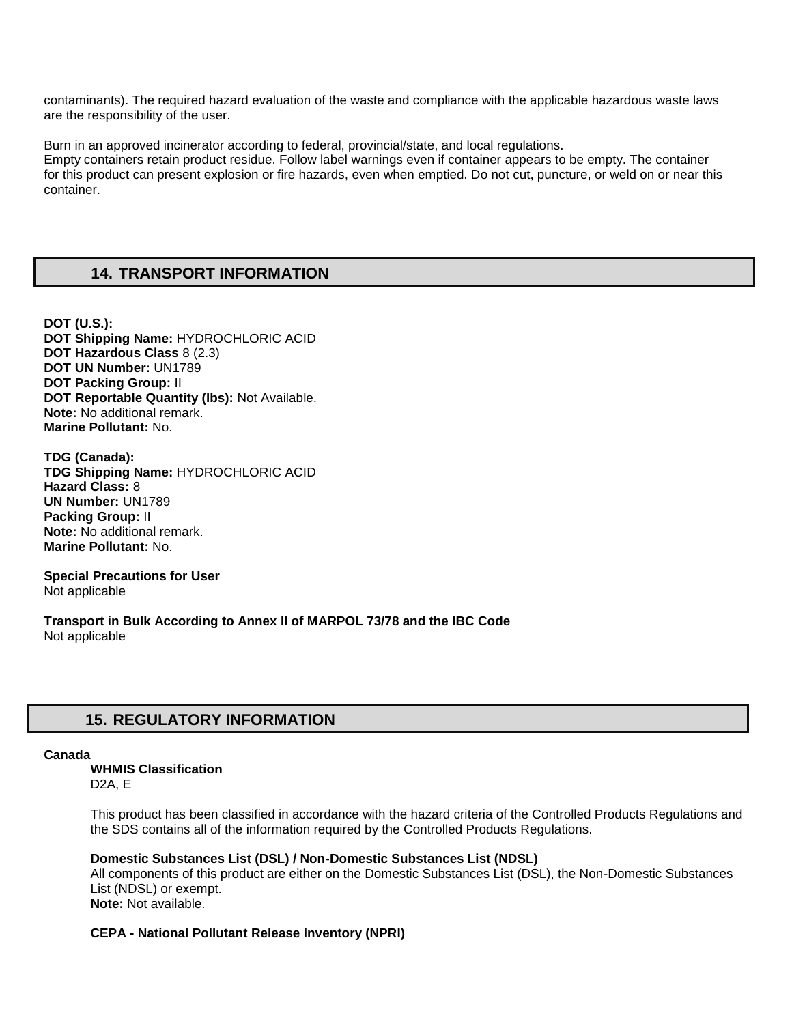contaminants). The required hazard evaluation of the waste and compliance with the applicable hazardous waste laws are the responsibility of the user.

Burn in an approved incinerator according to federal, provincial/state, and local regulations. Empty containers retain product residue. Follow label warnings even if container appears to be empty. The container for this product can present explosion or fire hazards, even when emptied. Do not cut, puncture, or weld on or near this container.

# **14. TRANSPORT INFORMATION**

**DOT (U.S.): DOT Shipping Name:** HYDROCHLORIC ACID **DOT Hazardous Class** 8 (2.3) **DOT UN Number:** UN1789 **DOT Packing Group:** II **DOT Reportable Quantity (lbs):** Not Available. **Note:** No additional remark. **Marine Pollutant:** No.

**TDG (Canada): TDG Shipping Name:** HYDROCHLORIC ACID **Hazard Class:** 8 **UN Number:** UN1789 **Packing Group:** II **Note:** No additional remark. **Marine Pollutant:** No.

**Special Precautions for User** Not applicable

**Transport in Bulk According to Annex II of MARPOL 73/78 and the IBC Code**  Not applicable

# **15. REGULATORY INFORMATION**

#### **Canada**

**WHMIS Classification**  D2A, E

This product has been classified in accordance with the hazard criteria of the Controlled Products Regulations and the SDS contains all of the information required by the Controlled Products Regulations.

#### **Domestic Substances List (DSL) / Non-Domestic Substances List (NDSL)**

All components of this product are either on the Domestic Substances List (DSL), the Non-Domestic Substances List (NDSL) or exempt. **Note:** Not available.

### **CEPA - National Pollutant Release Inventory (NPRI)**